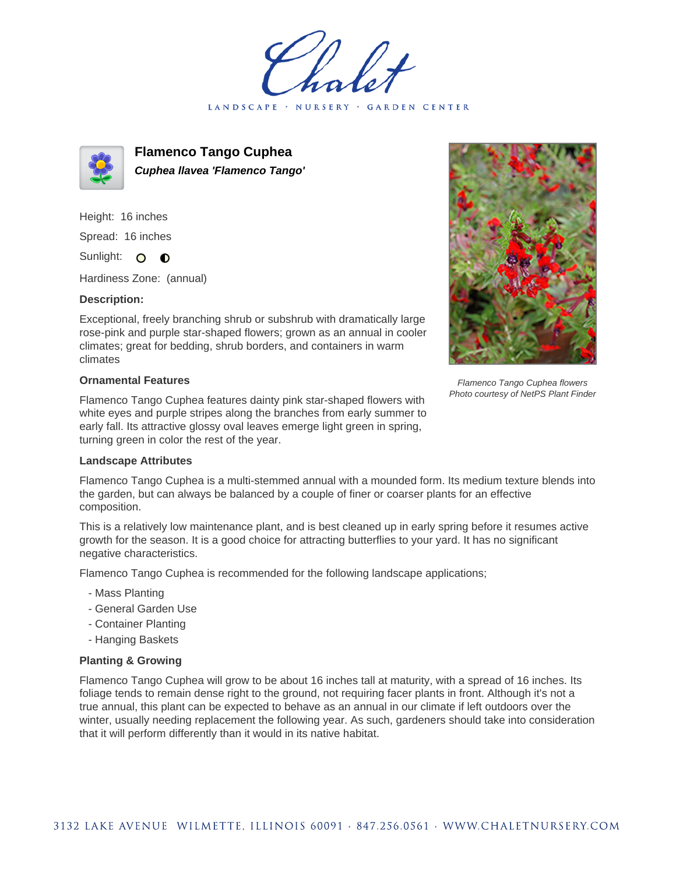LANDSCAPE · NURSERY · GARDEN CENTER



**Flamenco Tango Cuphea Cuphea llavea 'Flamenco Tango'**

Height: 16 inches Spread: 16 inches Sunlight: O O

Hardiness Zone: (annual)

## **Description:**

Exceptional, freely branching shrub or subshrub with dramatically large rose-pink and purple star-shaped flowers; grown as an annual in cooler climates; great for bedding, shrub borders, and containers in warm climates

## **Ornamental Features**

Flamenco Tango Cuphea features dainty pink star-shaped flowers with white eyes and purple stripes along the branches from early summer to early fall. Its attractive glossy oval leaves emerge light green in spring, turning green in color the rest of the year.



Flamenco Tango Cuphea flowers Photo courtesy of NetPS Plant Finder

## **Landscape Attributes**

Flamenco Tango Cuphea is a multi-stemmed annual with a mounded form. Its medium texture blends into the garden, but can always be balanced by a couple of finer or coarser plants for an effective composition.

This is a relatively low maintenance plant, and is best cleaned up in early spring before it resumes active growth for the season. It is a good choice for attracting butterflies to your yard. It has no significant negative characteristics.

Flamenco Tango Cuphea is recommended for the following landscape applications;

- Mass Planting
- General Garden Use
- Container Planting
- Hanging Baskets

## **Planting & Growing**

Flamenco Tango Cuphea will grow to be about 16 inches tall at maturity, with a spread of 16 inches. Its foliage tends to remain dense right to the ground, not requiring facer plants in front. Although it's not a true annual, this plant can be expected to behave as an annual in our climate if left outdoors over the winter, usually needing replacement the following year. As such, gardeners should take into consideration that it will perform differently than it would in its native habitat.